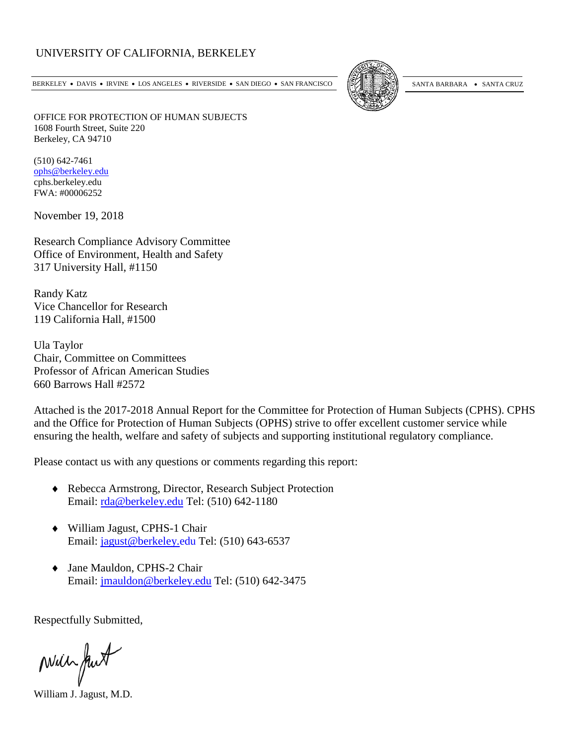## UNIVERSITY OF CALIFORNIA, BERKELEY

BERKELEY • DAVIS • IRVINE • LOS ANGELES • RIVERSIDE • SAN DIEGO • SAN FRANCISCO [54] SANTA BARBARA • SANTA CRUZ



OFFICE FOR PROTECTION OF HUMAN SUBJECTS 1608 Fourth Street, Suite 220 Berkeley, CA 94710

(510) 642-7461 [ophs@berkeley.edu](mailto:ophs@berkeley.edu) cphs.berkeley.edu FWA: #00006252

November 19, 2018

Research Compliance Advisory Committee Office of Environment, Health and Safety 317 University Hall, #1150

Randy Katz Vice Chancellor for Research 119 California Hall, #1500

Ula Taylor Chair, Committee on Committees Professor of African American Studies 660 Barrows Hall #2572

Attached is the 2017-2018 Annual Report for the Committee for Protection of Human Subjects (CPHS). CPHS and the Office for Protection of Human Subjects (OPHS) strive to offer excellent customer service while ensuring the health, welfare and safety of subjects and supporting institutional regulatory compliance.

Please contact us with any questions or comments regarding this report:

- ♦ Rebecca Armstrong, Director, Research Subject Protection Email: [rda@berkeley.edu](mailto:rda@berkeley.edu) Tel: (510) 642-1180
- ♦ William Jagust, CPHS-1 Chair Email: [jagust@berkeley.edu](mailto:jagust@berkeley.edu) Tel: (510) 643-6537
- ♦ Jane Mauldon, CPHS-2 Chair Email: [jmauldon@berkeley.edu](mailto:jmauldon@berkeley.edu) Tel: (510) 642-3475

Respectfully Submitted,

Mill fut

William J. Jagust, M.D.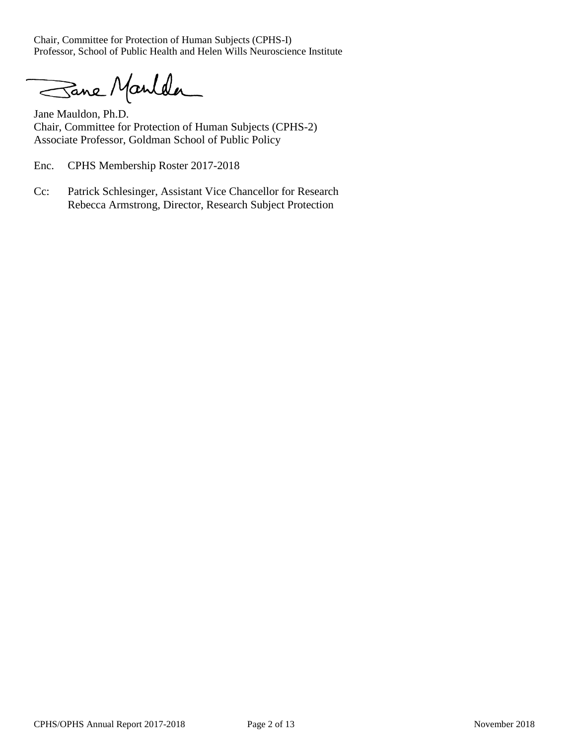Chair, Committee for Protection of Human Subjects (CPHS-I) Professor, School of Public Health and Helen Wills Neuroscience Institute

Sane Manlder

Jane Mauldon, Ph.D. Chair, Committee for Protection of Human Subjects (CPHS-2) Associate Professor, Goldman School of Public Policy

Enc. CPHS Membership Roster 2017-2018

Cc: Patrick Schlesinger, Assistant Vice Chancellor for Research Rebecca Armstrong, Director, Research Subject Protection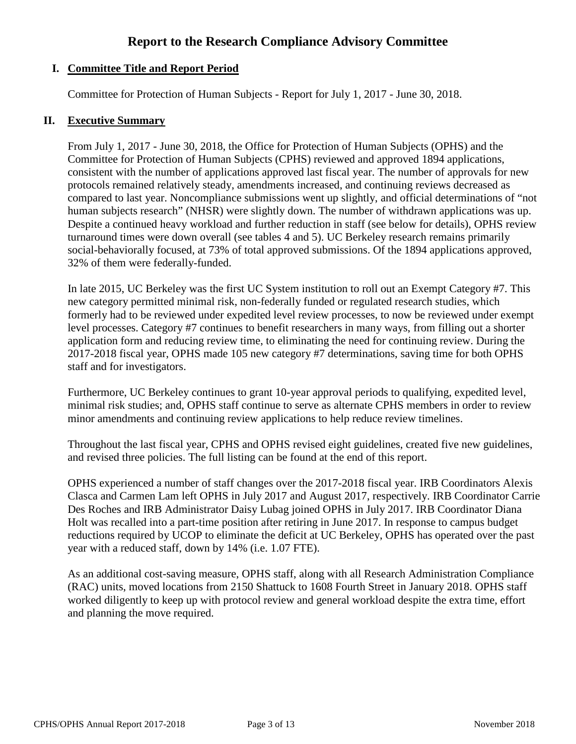# **Report to the Research Compliance Advisory Committee**

## **I. Committee Title and Report Period**

Committee for Protection of Human Subjects - Report for July 1, 2017 - June 30, 2018.

#### **II. Executive Summary**

From July 1, 2017 - June 30, 2018, the Office for Protection of Human Subjects (OPHS) and the Committee for Protection of Human Subjects (CPHS) reviewed and approved 1894 applications, consistent with the number of applications approved last fiscal year. The number of approvals for new protocols remained relatively steady, amendments increased, and continuing reviews decreased as compared to last year. Noncompliance submissions went up slightly, and official determinations of "not human subjects research" (NHSR) were slightly down. The number of withdrawn applications was up. Despite a continued heavy workload and further reduction in staff (see below for details), OPHS review turnaround times were down overall (see tables 4 and 5). UC Berkeley research remains primarily social-behaviorally focused, at 73% of total approved submissions. Of the 1894 applications approved, 32% of them were federally-funded.

In late 2015, UC Berkeley was the first UC System institution to roll out an Exempt Category #7. This new category permitted minimal risk, non-federally funded or regulated research studies, which formerly had to be reviewed under expedited level review processes, to now be reviewed under exempt level processes. Category #7 continues to benefit researchers in many ways, from filling out a shorter application form and reducing review time, to eliminating the need for continuing review. During the 2017-2018 fiscal year, OPHS made 105 new category #7 determinations, saving time for both OPHS staff and for investigators.

Furthermore, UC Berkeley continues to grant 10-year approval periods to qualifying, expedited level, minimal risk studies; and, OPHS staff continue to serve as alternate CPHS members in order to review minor amendments and continuing review applications to help reduce review timelines.

Throughout the last fiscal year, CPHS and OPHS revised eight guidelines, created five new guidelines, and revised three policies. The full listing can be found at the end of this report.

OPHS experienced a number of staff changes over the 2017-2018 fiscal year. IRB Coordinators Alexis Clasca and Carmen Lam left OPHS in July 2017 and August 2017, respectively. IRB Coordinator Carrie Des Roches and IRB Administrator Daisy Lubag joined OPHS in July 2017. IRB Coordinator Diana Holt was recalled into a part-time position after retiring in June 2017. In response to campus budget reductions required by UCOP to eliminate the deficit at UC Berkeley, OPHS has operated over the past year with a reduced staff, down by 14% (i.e. 1.07 FTE).

As an additional cost-saving measure, OPHS staff, along with all Research Administration Compliance (RAC) units, moved locations from 2150 Shattuck to 1608 Fourth Street in January 2018. OPHS staff worked diligently to keep up with protocol review and general workload despite the extra time, effort and planning the move required.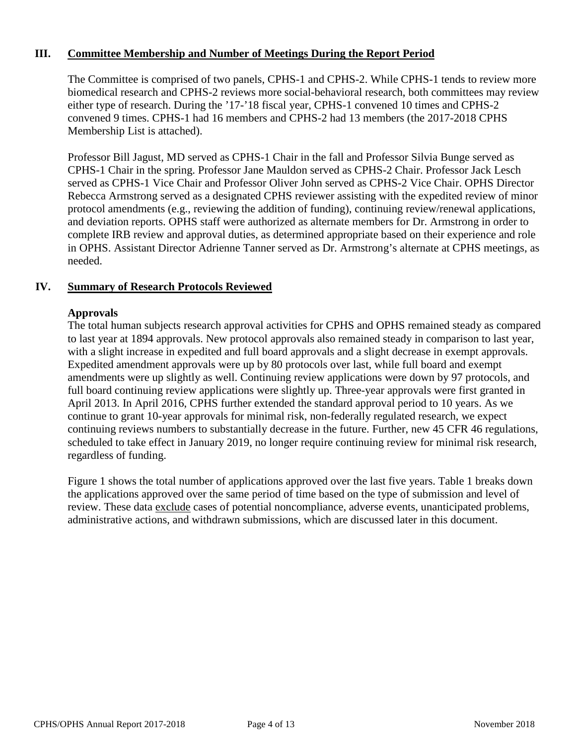## **III. Committee Membership and Number of Meetings During the Report Period**

The Committee is comprised of two panels, CPHS-1 and CPHS-2. While CPHS-1 tends to review more biomedical research and CPHS-2 reviews more social-behavioral research, both committees may review either type of research. During the '17-'18 fiscal year, CPHS-1 convened 10 times and CPHS-2 convened 9 times. CPHS-1 had 16 members and CPHS-2 had 13 members (the 2017-2018 CPHS Membership List is attached).

Professor Bill Jagust, MD served as CPHS-1 Chair in the fall and Professor Silvia Bunge served as CPHS-1 Chair in the spring. Professor Jane Mauldon served as CPHS-2 Chair. Professor Jack Lesch served as CPHS-1 Vice Chair and Professor Oliver John served as CPHS-2 Vice Chair. OPHS Director Rebecca Armstrong served as a designated CPHS reviewer assisting with the expedited review of minor protocol amendments (e.g., reviewing the addition of funding), continuing review/renewal applications, and deviation reports. OPHS staff were authorized as alternate members for Dr. Armstrong in order to complete IRB review and approval duties, as determined appropriate based on their experience and role in OPHS. Assistant Director Adrienne Tanner served as Dr. Armstrong's alternate at CPHS meetings, as needed.

#### **IV. Summary of Research Protocols Reviewed**

#### **Approvals**

The total human subjects research approval activities for CPHS and OPHS remained steady as compared to last year at 1894 approvals. New protocol approvals also remained steady in comparison to last year, with a slight increase in expedited and full board approvals and a slight decrease in exempt approvals. Expedited amendment approvals were up by 80 protocols over last, while full board and exempt amendments were up slightly as well. Continuing review applications were down by 97 protocols, and full board continuing review applications were slightly up. Three-year approvals were first granted in April 2013. In April 2016, CPHS further extended the standard approval period to 10 years. As we continue to grant 10-year approvals for minimal risk, non-federally regulated research, we expect continuing reviews numbers to substantially decrease in the future. Further, new 45 CFR 46 regulations, scheduled to take effect in January 2019, no longer require continuing review for minimal risk research, regardless of funding.

Figure 1 shows the total number of applications approved over the last five years. Table 1 breaks down the applications approved over the same period of time based on the type of submission and level of review. These data exclude cases of potential noncompliance, adverse events, unanticipated problems, administrative actions, and withdrawn submissions, which are discussed later in this document.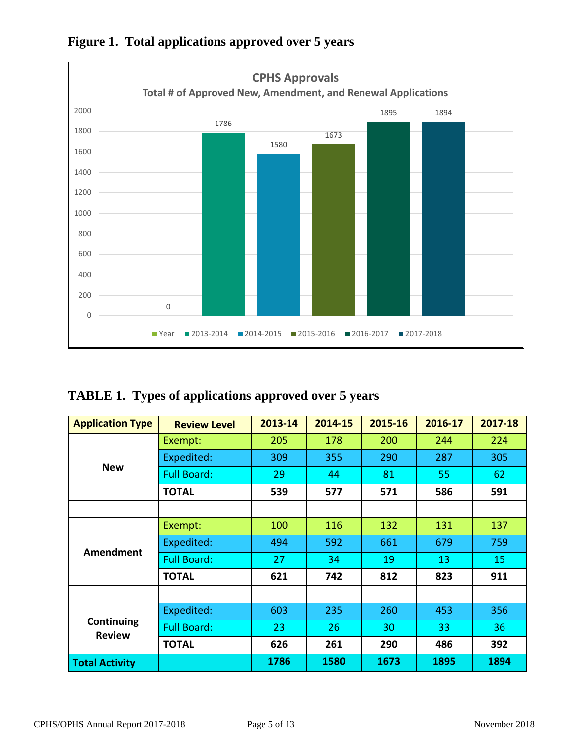

**Figure 1. Total applications approved over 5 years**

|  |  | <b>TABLE 1. Types of applications approved over 5 years</b> |
|--|--|-------------------------------------------------------------|
|  |  |                                                             |

| <b>Application Type</b>     | <b>Review Level</b> | 2013-14 | 2014-15 | 2015-16 | 2016-17 | 2017-18 |
|-----------------------------|---------------------|---------|---------|---------|---------|---------|
|                             | Exempt:             | 205     | 178     | 200     | 244     | 224     |
| <b>New</b>                  | Expedited:          | 309     | 355     | 290     | 287     | 305     |
|                             | <b>Full Board:</b>  | 29      | 44      | 81      | 55      | 62      |
|                             | <b>TOTAL</b>        | 539     | 577     | 571     | 586     | 591     |
|                             |                     |         |         |         |         |         |
|                             | Exempt:             | 100     | 116     | 132     | 131     | 137     |
|                             | Expedited:          | 494     | 592     | 661     | 679     | 759     |
| Amendment                   | <b>Full Board:</b>  | 27      | 34      | 19      | 13      | 15      |
|                             | <b>TOTAL</b>        | 621     | 742     | 812     | 823     | 911     |
|                             |                     |         |         |         |         |         |
|                             | Expedited:          | 603     | 235     | 260     | 453     | 356     |
| Continuing<br><b>Review</b> | <b>Full Board:</b>  | 23      | 26      | 30      | 33      | 36      |
|                             | <b>TOTAL</b>        | 626     | 261     | 290     | 486     | 392     |
| <b>Total Activity</b>       |                     | 1786    | 1580    | 1673    | 1895    | 1894    |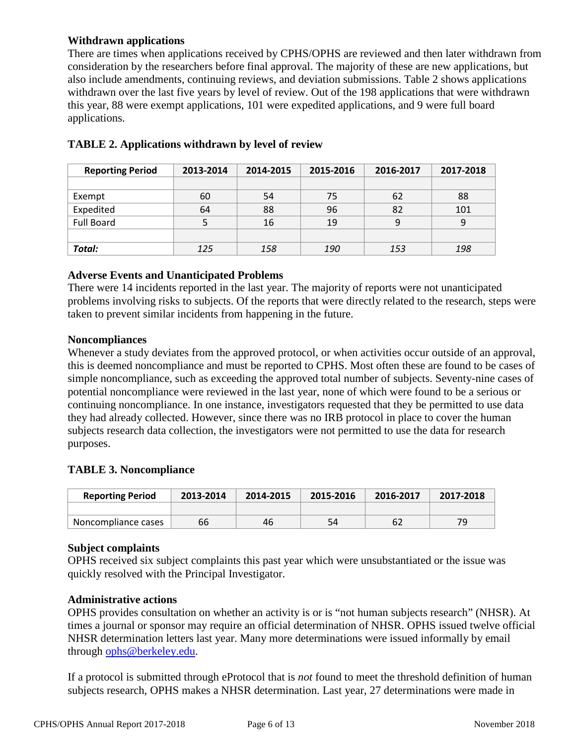## **Withdrawn applications**

There are times when applications received by CPHS/OPHS are reviewed and then later withdrawn from consideration by the researchers before final approval. The majority of these are new applications, but also include amendments, continuing reviews, and deviation submissions. Table 2 shows applications withdrawn over the last five years by level of review. Out of the 198 applications that were withdrawn this year, 88 were exempt applications, 101 were expedited applications, and 9 were full board applications.

| <b>Reporting Period</b> | 2013-2014 | 2014-2015 | 2015-2016  | 2016-2017 | 2017-2018 |
|-------------------------|-----------|-----------|------------|-----------|-----------|
|                         |           |           |            |           |           |
| Exempt                  | 60        | 54        | 75         | 62        | 88        |
| Expedited               | 64        | 88        | 96         | 82        | 101       |
| <b>Full Board</b>       |           | 16        | 19         | 9         |           |
|                         |           |           |            |           |           |
| Total:                  | 125       | 158       | <i>190</i> | 153       | 198       |

## **TABLE 2. Applications withdrawn by level of review**

#### **Adverse Events and Unanticipated Problems**

There were 14 incidents reported in the last year. The majority of reports were not unanticipated problems involving risks to subjects. Of the reports that were directly related to the research, steps were taken to prevent similar incidents from happening in the future.

## **Noncompliances**

Whenever a study deviates from the approved protocol, or when activities occur outside of an approval, this is deemed noncompliance and must be reported to CPHS. Most often these are found to be cases of simple noncompliance, such as exceeding the approved total number of subjects. Seventy-nine cases of potential noncompliance were reviewed in the last year, none of which were found to be a serious or continuing noncompliance. In one instance, investigators requested that they be permitted to use data they had already collected. However, since there was no IRB protocol in place to cover the human subjects research data collection, the investigators were not permitted to use the data for research purposes.

## **TABLE 3. Noncompliance**

| <b>Reporting Period</b> | 2013-2014 | 2014-2015 | 2015-2016 | 2016-2017 | 2017-2018 |
|-------------------------|-----------|-----------|-----------|-----------|-----------|
|                         |           |           |           |           |           |
| Noncompliance cases     | 66        | 46        | 54        | 62        | 79        |

#### **Subject complaints**

OPHS received six subject complaints this past year which were unsubstantiated or the issue was quickly resolved with the Principal Investigator.

#### **Administrative actions**

OPHS provides consultation on whether an activity is or is "not human subjects research" (NHSR). At times a journal or sponsor may require an official determination of NHSR. OPHS issued twelve official NHSR determination letters last year. Many more determinations were issued informally by email through [ophs@berkeley.edu.](mailto:ophs@berkeley.edu)

If a protocol is submitted through eProtocol that is *not* found to meet the threshold definition of human subjects research, OPHS makes a NHSR determination. Last year, 27 determinations were made in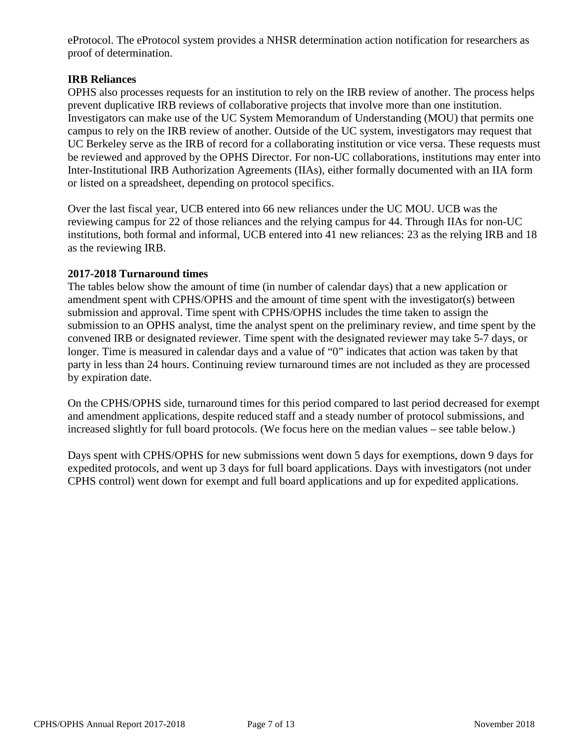eProtocol. The eProtocol system provides a NHSR determination action notification for researchers as proof of determination.

## **IRB Reliances**

OPHS also processes requests for an institution to rely on the IRB review of another. The process helps prevent duplicative IRB reviews of collaborative projects that involve more than one institution. Investigators can make use of the UC System Memorandum of Understanding (MOU) that permits one campus to rely on the IRB review of another. Outside of the UC system, investigators may request that UC Berkeley serve as the IRB of record for a collaborating institution or vice versa. These requests must be reviewed and approved by the OPHS Director. For non-UC collaborations, institutions may enter into Inter-Institutional IRB Authorization Agreements (IIAs), either formally documented with an IIA form or listed on a spreadsheet, depending on protocol specifics.

Over the last fiscal year, UCB entered into 66 new reliances under the UC MOU. UCB was the reviewing campus for 22 of those reliances and the relying campus for 44. Through IIAs for non-UC institutions, both formal and informal, UCB entered into 41 new reliances: 23 as the relying IRB and 18 as the reviewing IRB.

## **2017-2018 Turnaround times**

The tables below show the amount of time (in number of calendar days) that a new application or amendment spent with CPHS/OPHS and the amount of time spent with the investigator(s) between submission and approval. Time spent with CPHS/OPHS includes the time taken to assign the submission to an OPHS analyst, time the analyst spent on the preliminary review, and time spent by the convened IRB or designated reviewer. Time spent with the designated reviewer may take 5-7 days, or longer. Time is measured in calendar days and a value of "0" indicates that action was taken by that party in less than 24 hours. Continuing review turnaround times are not included as they are processed by expiration date.

On the CPHS/OPHS side, turnaround times for this period compared to last period decreased for exempt and amendment applications, despite reduced staff and a steady number of protocol submissions, and increased slightly for full board protocols. (We focus here on the median values – see table below.)

Days spent with CPHS/OPHS for new submissions went down 5 days for exemptions, down 9 days for expedited protocols, and went up 3 days for full board applications. Days with investigators (not under CPHS control) went down for exempt and full board applications and up for expedited applications.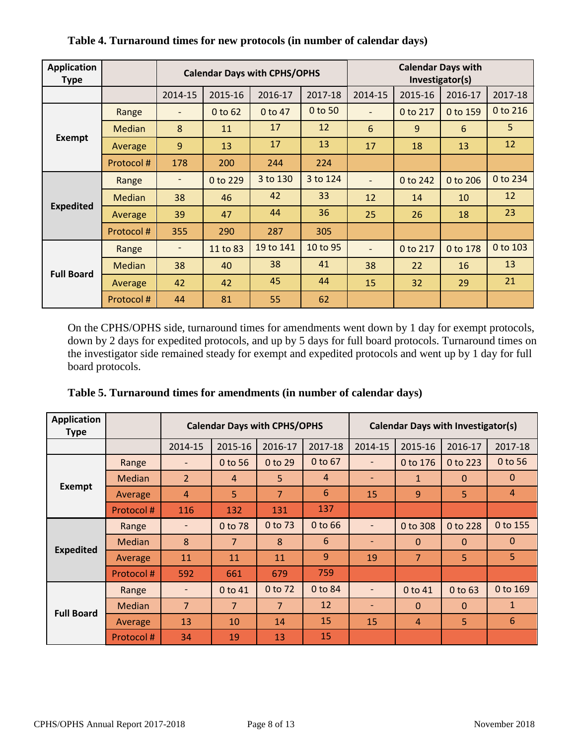| <b>Application</b><br><b>Type</b> |           | <b>Calendar Days with CPHS/OPHS</b> |          |           |          | <b>Calendar Days with</b><br>Investigator(s) |                |          |          |
|-----------------------------------|-----------|-------------------------------------|----------|-----------|----------|----------------------------------------------|----------------|----------|----------|
|                                   |           | 2014-15                             | 2015-16  | 2016-17   | 2017-18  | 2014-15                                      | 2015-16        | 2016-17  | 2017-18  |
|                                   | Range     | $\overline{\phantom{a}}$            | 0 to 62  | 0 to 47   | 0 to 50  |                                              | 0 to 217       | 0 to 159 | 0 to 216 |
|                                   | Median    | 8                                   | 11       | 17        | 12       | 6                                            | $\overline{9}$ | 6        | 5        |
| <b>Exempt</b>                     | Average   | 9                                   | 13       | 17        | 13       | 17                                           | 18             | 13       | 12       |
|                                   | Protocol# | 178                                 | 200      | 244       | 224      |                                              |                |          |          |
|                                   | Range     | $\overline{\phantom{a}}$            | 0 to 229 | 3 to 130  | 3 to 124 | $\blacksquare$                               | 0 to 242       | 0 to 206 | 0 to 234 |
|                                   | Median    | 38                                  | 46       | 42        | 33       | 12                                           | 14             | 10       | 12       |
| <b>Expedited</b>                  | Average   | 39                                  | 47       | 44        | 36       | 25                                           | 26             | 18       | 23       |
|                                   | Protocol# | 355                                 | 290      | 287       | 305      |                                              |                |          |          |
|                                   | Range     | $\overline{\phantom{a}}$            | 11 to 83 | 19 to 141 | 10 to 95 |                                              | 0 to 217       | 0 to 178 | 0 to 103 |
|                                   | Median    | 38                                  | 40       | 38        | 41       | 38                                           | 22             | 16       | 13       |
| <b>Full Board</b>                 | Average   | 42                                  | 42       | 45        | 44       | 15                                           | 32             | 29       | 21       |
|                                   | Protocol# | 44                                  | 81       | 55        | 62       |                                              |                |          |          |

**Table 4. Turnaround times for new protocols (in number of calendar days)**

On the CPHS/OPHS side, turnaround times for amendments went down by 1 day for exempt protocols, down by 2 days for expedited protocols, and up by 5 days for full board protocols. Turnaround times on the investigator side remained steady for exempt and expedited protocols and went up by 1 day for full board protocols.

| <b>Application</b><br>Type |               | <b>Calendar Days with CPHS/OPHS</b> |                |                |                | <b>Calendar Days with Investigator(s)</b> |                |              |                |
|----------------------------|---------------|-------------------------------------|----------------|----------------|----------------|-------------------------------------------|----------------|--------------|----------------|
|                            |               | 2014-15                             | 2015-16        | 2016-17        | 2017-18        | 2014-15                                   | 2015-16        | 2016-17      | 2017-18        |
|                            | Range         |                                     | 0 to 56        | 0 to 29        | 0 to 67        |                                           | 0 to 176       | 0 to 223     | 0 to 56        |
|                            | <b>Median</b> | $\overline{2}$                      | $\overline{4}$ | 5              | $\overline{A}$ |                                           | 1              | $\mathbf{0}$ | $\theta$       |
| <b>Exempt</b>              | Average       | $\overline{4}$                      | 5.             | 7              | 6              | 15                                        | 9              | 5            | $\overline{4}$ |
|                            | Protocol#     | 116                                 | 132            | 131            | 137            |                                           |                |              |                |
|                            | Range         |                                     | 0 to 78        | 0 to 73        | 0 to 66        |                                           | 0 to 308       | 0 to 228     | 0 to 155       |
|                            | <b>Median</b> | 8                                   | $\overline{7}$ | 8              | 6              |                                           | $\mathbf{0}$   | $\mathbf{0}$ | $\mathbf{0}$   |
| <b>Expedited</b>           | Average       | 11                                  | 11             | 11             | 9              | 19                                        | $\overline{7}$ | 5            | 5              |
|                            | Protocol#     | 592                                 | 661            | 679            | 759            |                                           |                |              |                |
|                            | Range         | $\qquad \qquad \blacksquare$        | 0 to 41        | 0 to 72        | 0 to 84        |                                           | 0 to 41        | 0 to 63      | 0 to 169       |
|                            | <b>Median</b> | $\overline{7}$                      | $\overline{7}$ | $\overline{7}$ | 12             |                                           | $\mathbf{0}$   | $\mathbf{0}$ | $\mathbf{1}$   |
| <b>Full Board</b>          | Average       | 13                                  | 10             | 14             | 15             | 15                                        | $\overline{4}$ | 5            | 6              |
|                            | Protocol#     | 34                                  | 19             | 13             | 15             |                                           |                |              |                |

**Table 5. Turnaround times for amendments (in number of calendar days)**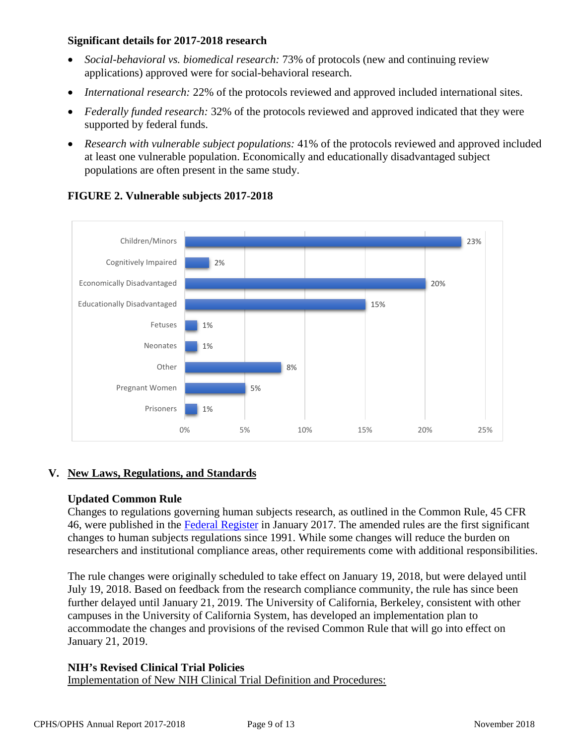## **Significant details for 2017-2018 research**

- *Social-behavioral vs. biomedical research:* 73% of protocols (new and continuing review applications) approved were for social-behavioral research.
- *International research:* 22% of the protocols reviewed and approved included international sites.
- *Federally funded research:* 32% of the protocols reviewed and approved indicated that they were supported by federal funds.
- *Research with vulnerable subject populations:* 41% of the protocols reviewed and approved included at least one vulnerable population. Economically and educationally disadvantaged subject populations are often present in the same study.



## **FIGURE 2. Vulnerable subjects 2017-2018**

## **V. New Laws, Regulations, and Standards**

#### **Updated Common Rule**

Changes to regulations governing human subjects research, as outlined in the Common Rule, 45 CFR 46, were published in the [Federal Register](https://www.hhs.gov/ohrp/regulations-and-policy/regulations/finalized-revisions-common-rule/index.html) in January 2017. The amended rules are the first significant changes to human subjects regulations since 1991. While some changes will reduce the burden on researchers and institutional compliance areas, other requirements come with additional responsibilities.

The rule changes were originally scheduled to take effect on January 19, 2018, but were delayed until July 19, 2018. Based on feedback from the research compliance community, the rule has since been further delayed until January 21, 2019. The University of California, Berkeley, consistent with other campuses in the University of California System, has developed an implementation plan to accommodate the changes and provisions of the revised Common Rule that will go into effect on January 21, 2019.

#### **NIH's Revised Clinical Trial Policies**

Implementation of New NIH Clinical Trial Definition and Procedures: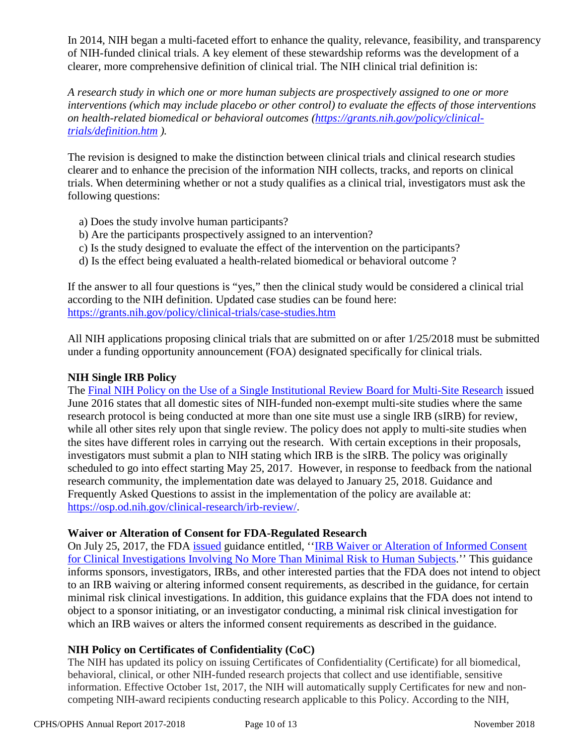In 2014, NIH began a multi-faceted effort to enhance the quality, relevance, feasibility, and transparency of NIH-funded clinical trials. A key element of these stewardship reforms was the development of a clearer, more comprehensive definition of clinical trial. The NIH clinical trial definition is:

*A research study in which one or more human subjects are prospectively assigned to one or more interventions (which may include placebo or other control) to evaluate the effects of those interventions on health-related biomedical or behavioral outcomes [\(https://grants.nih.gov/policy/clinical](https://grants.nih.gov/policy/clinical-trials/definition.htm)[trials/definition.htm](https://grants.nih.gov/policy/clinical-trials/definition.htm) ).*

The revision is designed to make the distinction between clinical trials and clinical research studies clearer and to enhance the precision of the information NIH collects, tracks, and reports on clinical trials. When determining whether or not a study qualifies as a clinical trial, investigators must ask the following questions:

- a) Does the study involve human participants?
- b) Are the participants prospectively assigned to an intervention?
- c) Is the study designed to evaluate the effect of the intervention on the participants?
- d) Is the effect being evaluated a health-related biomedical or behavioral outcome ?

If the answer to all four questions is "yes," then the clinical study would be considered a clinical trial according to the NIH definition. Updated case studies can be found here: <https://grants.nih.gov/policy/clinical-trials/case-studies.htm>

All NIH applications proposing clinical trials that are submitted on or after 1/25/2018 must be submitted under a funding opportunity announcement (FOA) designated specifically for clinical trials.

## **NIH Single IRB Policy**

The [Final NIH Policy on the Use of a Single Institutional Review Board for Multi-Site Research](https://www.federalregister.gov/articles/2016/06/21/2016-14513/policy-on-the-use-of-a-single-institutional-review-board-for-multi-site-research) issued June 2016 states that all domestic sites of NIH-funded non-exempt multi-site studies where the same research protocol is being conducted at more than one site must use a single IRB (sIRB) for review, while all other sites rely upon that single review. The policy does not apply to multi-site studies when the sites have different roles in carrying out the research. With certain exceptions in their proposals, investigators must submit a plan to NIH stating which IRB is the sIRB. The policy was originally scheduled to go into effect starting May 25, 2017. However, in response to feedback from the national research community, the implementation date was delayed to January 25, 2018. Guidance and Frequently Asked Questions to assist in the implementation of the policy are available at: [https://osp.od.nih.gov/clinical-research/irb-review/.](https://osp.od.nih.gov/clinical-research/irb-review/)

#### **Waiver or Alteration of Consent for FDA-Regulated Research**

On July 25, 2017, the FDA [issued](https://www.gpo.gov/fdsys/pkg/FR-2017-07-25/pdf/2017-15539.pdf) guidance entitled, '['IRB Waiver or Alteration of Informed Consent](https://www.fda.gov/downloads/RegulatoryInformation/Guidances/UCM566948.pdf)  [for Clinical Investigations Involving No More Than Minimal Risk to Human Subjects.](https://www.fda.gov/downloads/RegulatoryInformation/Guidances/UCM566948.pdf)'' This guidance informs sponsors, investigators, IRBs, and other interested parties that the FDA does not intend to object to an IRB waiving or altering informed consent requirements, as described in the guidance, for certain minimal risk clinical investigations. In addition, this guidance explains that the FDA does not intend to object to a sponsor initiating, or an investigator conducting, a minimal risk clinical investigation for which an IRB waives or alters the informed consent requirements as described in the guidance.

#### **NIH Policy on Certificates of Confidentiality (CoC)**

The NIH has updated its policy on issuing Certificates of Confidentiality (Certificate) for all biomedical, behavioral, clinical, or other NIH-funded research projects that collect and use identifiable, sensitive information. Effective October 1st, 2017, the NIH will automatically supply Certificates for new and noncompeting NIH-award recipients conducting research applicable to this Policy. According to the NIH,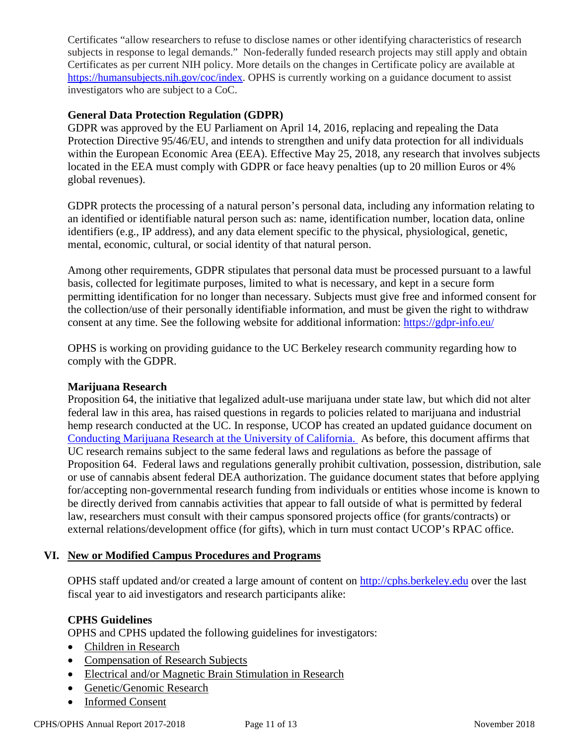Certificates "allow researchers to refuse to disclose names or other identifying characteristics of research subjects in response to legal demands." Non-federally funded research projects may still apply and obtain Certificates as per current NIH policy. More details on the changes in Certificate policy are available at [https://humansubjects.nih.gov/coc/index.](https://humansubjects.nih.gov/coc/index) OPHS is currently working on a guidance document to assist investigators who are subject to a CoC.

## **General Data Protection Regulation (GDPR)**

GDPR was approved by the EU Parliament on April 14, 2016, replacing and repealing the Data Protection Directive 95/46/EU, and intends to strengthen and unify data protection for all individuals within the European Economic Area (EEA). Effective May 25, 2018, any research that involves subjects located in the EEA must comply with GDPR or face heavy penalties (up to 20 million Euros or 4% global revenues).

GDPR protects the processing of a natural person's personal data, including any information relating to an identified or identifiable natural person such as: name, identification number, location data, online identifiers (e.g., IP address), and any data element specific to the physical, physiological, genetic, mental, economic, cultural, or social identity of that natural person.

Among other requirements, GDPR stipulates that personal data must be processed pursuant to a lawful basis, collected for legitimate purposes, limited to what is necessary, and kept in a secure form permitting identification for no longer than necessary. Subjects must give free and informed consent for the collection/use of their personally identifiable information, and must be given the right to withdraw consent at any time. See the following website for additional information: https://gdpr-info.eu/

OPHS is working on providing guidance to the UC Berkeley research community regarding how to comply with the GDPR.

#### **Marijuana Research**

Proposition 64, the initiative that legalized adult-use marijuana under state law, but which did not alter federal law in this area, has raised questions in regards to policies related to marijuana and industrial hemp research conducted at the UC. In response, UCOP has created an updated guidance document on [Conducting Marijuana Research at the University of California.](https://researchmemos.ucop.edu/index.php/site/memoDetail/memo_id/RPAC-18-01) As before, this document affirms that UC research remains subject to the same federal laws and regulations as before the passage of Proposition 64. Federal laws and regulations generally prohibit cultivation, possession, distribution, sale or use of cannabis absent federal DEA authorization. The guidance document states that before applying for/accepting non-governmental research funding from individuals or entities whose income is known to be directly derived from cannabis activities that appear to fall outside of what is permitted by federal law, researchers must consult with their campus sponsored projects office (for grants/contracts) or external relations/development office (for gifts), which in turn must contact UCOP's RPAC office.

#### **VI. New or Modified Campus Procedures and Programs**

OPHS staff updated and/or created a large amount of content on [http://cphs.berkeley.edu](http://cphs.berkeley.edu/) over the last fiscal year to aid investigators and research participants alike:

#### **CPHS Guidelines**

OPHS and CPHS updated the following guidelines for investigators:

- [Children in Research](http://cphs.berkeley.edu/children_research.pdf)
- [Compensation of Research Subjects](https://cphs.berkeley.edu/compensation.pdf)
- [Electrical and/or Magnetic Brain Stimulation in Research](https://cphs.berkeley.edu/brain_stimulation.pdf)
- [Genetic/Genomic Research](https://cphs.berkeley.edu/genetic_genomic.pdf)
- [Informed Consent](https://cphs.berkeley.edu/informedconsent.html)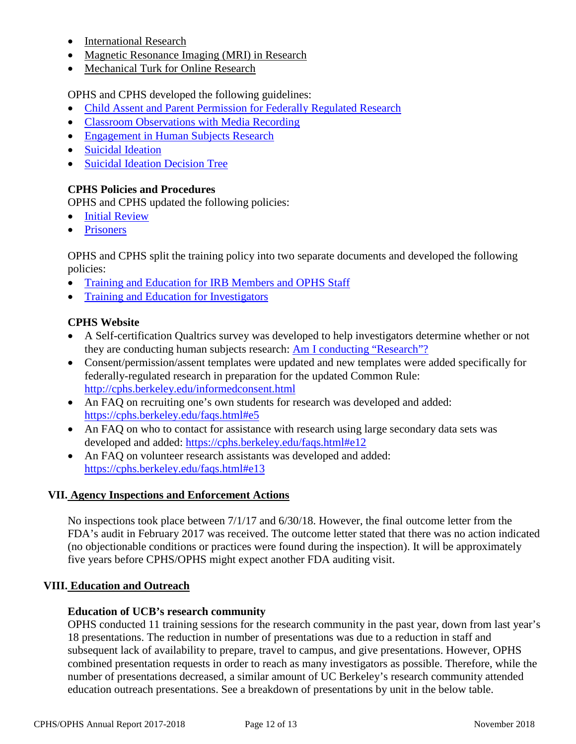- [International Research](https://cphs.berkeley.edu/international.pdf)
- [Magnetic Resonance Imaging \(MRI\) in Research](https://cphs.berkeley.edu/mri.pdf)
- [Mechanical Turk for Online Research](https://cphs.berkeley.edu/mechanicalturk.pdf)

OPHS and CPHS developed the following guidelines:

- [Child Assent and Parent Permission for Federally Regulated Research](https://cphs.berkeley.edu/assent_permission_fed.pdf)
- [Classroom Observations with Media Recording](https://cphs.berkeley.edu/classroom_observations.pdf)
- [Engagement in Human Subjects Research](https://cphs.berkeley.edu/engagement.pdf)
- Suicidal [Ideation](https://cphs.berkeley.edu/suicidal_ideation.pdf)
- [Suicidal](https://cphs.berkeley.edu/suicidal_ideation_decision.pdf) Ideation Decision Tree

## **CPHS Policies and Procedures**

OPHS and CPHS updated the following policies:

- [Initial Review](https://cphs.berkeley.edu/policies_procedures/rr401.pdf)
- [Prisoners](https://cphs.berkeley.edu/policies_procedures/sc502.pdf)

OPHS and CPHS split the training policy into two separate documents and developed the following policies:

- [Training and Education for IRB Members and OPHS Staff](https://cphs.berkeley.edu/policies_procedures/ga102a.pdf)
- [Training and Education for Investigators](https://cphs.berkeley.edu/policies_procedures/ga102b.pdf)

# **CPHS Website**

- A Self-certification Qualtrics survey was developed to help investigators determine whether or not they are conducting human subjects research: [Am I conducting "Research"?](https://berkeley.qualtrics.com/jfe/form/SV_39PHbDqAJo3ewWp)
- Consent/permission/assent templates were updated and new templates were added specifically for federally-regulated research in preparation for the updated Common Rule: <http://cphs.berkeley.edu/informedconsent.html>
- An FAQ on recruiting one's own students for research was developed and added: https://cphs.berkeley.edu/faqs.html#e5
- An FAO on who to contact for assistance with research using large secondary data sets was developed and added:<https://cphs.berkeley.edu/faqs.html#e12>
- An FAQ on volunteer research assistants was developed and added: <https://cphs.berkeley.edu/faqs.html#e13>

## **VII. Agency Inspections and Enforcement Actions**

No inspections took place between 7/1/17 and 6/30/18. However, the final outcome letter from the FDA's audit in February 2017 was received. The outcome letter stated that there was no action indicated (no objectionable conditions or practices were found during the inspection). It will be approximately five years before CPHS/OPHS might expect another FDA auditing visit.

## **VIII. Education and Outreach**

## **Education of UCB's research community**

OPHS conducted 11 training sessions for the research community in the past year, down from last year's 18 presentations. The reduction in number of presentations was due to a reduction in staff and subsequent lack of availability to prepare, travel to campus, and give presentations. However, OPHS combined presentation requests in order to reach as many investigators as possible. Therefore, while the number of presentations decreased, a similar amount of UC Berkeley's research community attended education outreach presentations. See a breakdown of presentations by unit in the below table.